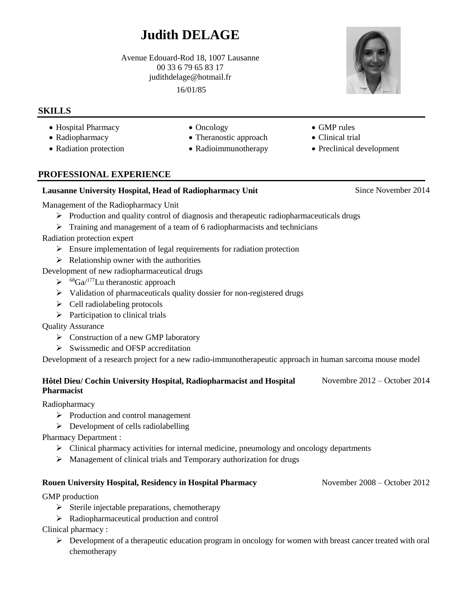# **Judith DELAGE**

Avenue Edouard-Rod 18, 1007 Lausanne 00 33 6 79 65 83 17 judithdelage@hotmail.fr

16/01/85

# **SKILLS**

- Hospital Pharmacy Oncology GMP rules
- 
- 
- 
- Radiopharmacy Theranostic approach Clinical trial
- Radiation protection Radioimmunotherapy Preclinical development

# **PROFESSIONAL EXPERIENCE**

## **Lausanne University Hospital, Head of Radiopharmacy Unit** Since November 2014

Management of the Radiopharmacy Unit

- $\triangleright$  Production and quality control of diagnosis and therapeutic radiopharmaceuticals drugs
- $\triangleright$  Training and management of a team of 6 radiopharmacists and technicians

Radiation protection expert

- $\triangleright$  Ensure implementation of legal requirements for radiation protection
- $\triangleright$  Relationship owner with the authorities

Development of new radiopharmaceutical drugs

- $\triangleright$  <sup>68</sup>Ga/<sup>177</sup>Lu theranostic approach
- $\triangleright$  Validation of pharmaceuticals quality dossier for non-registered drugs
- $\triangleright$  Cell radiolabeling protocols
- $\triangleright$  Participation to clinical trials

Quality Assurance

- $\triangleright$  Construction of a new GMP laboratory
- $\triangleright$  Swissmedic and OFSP accreditation

Development of a research project for a new radio-immunotherapeutic approach in human sarcoma mouse model

#### **Hôtel Dieu/ Cochin University Hospital, Radiopharmacist and Hospital Pharmacist** Novembre 2012 – October 2014

Radiopharmacy

- $\triangleright$  Production and control management
- $\triangleright$  Development of cells radiolabelling

Pharmacy Department :

- $\triangleright$  Clinical pharmacy activities for internal medicine, pneumology and oncology departments
- $\triangleright$  Management of clinical trials and Temporary authorization for drugs

### **Rouen University Hospital, Residency in Hospital Pharmacy** November 2008 – October 2012

GMP production

- $\triangleright$  Sterile injectable preparations, chemotherapy
- $\triangleright$  Radiopharmaceutical production and control

Clinical pharmacy :

 $\triangleright$  Development of a therapeutic education program in oncology for women with breast cancer treated with oral chemotherapy